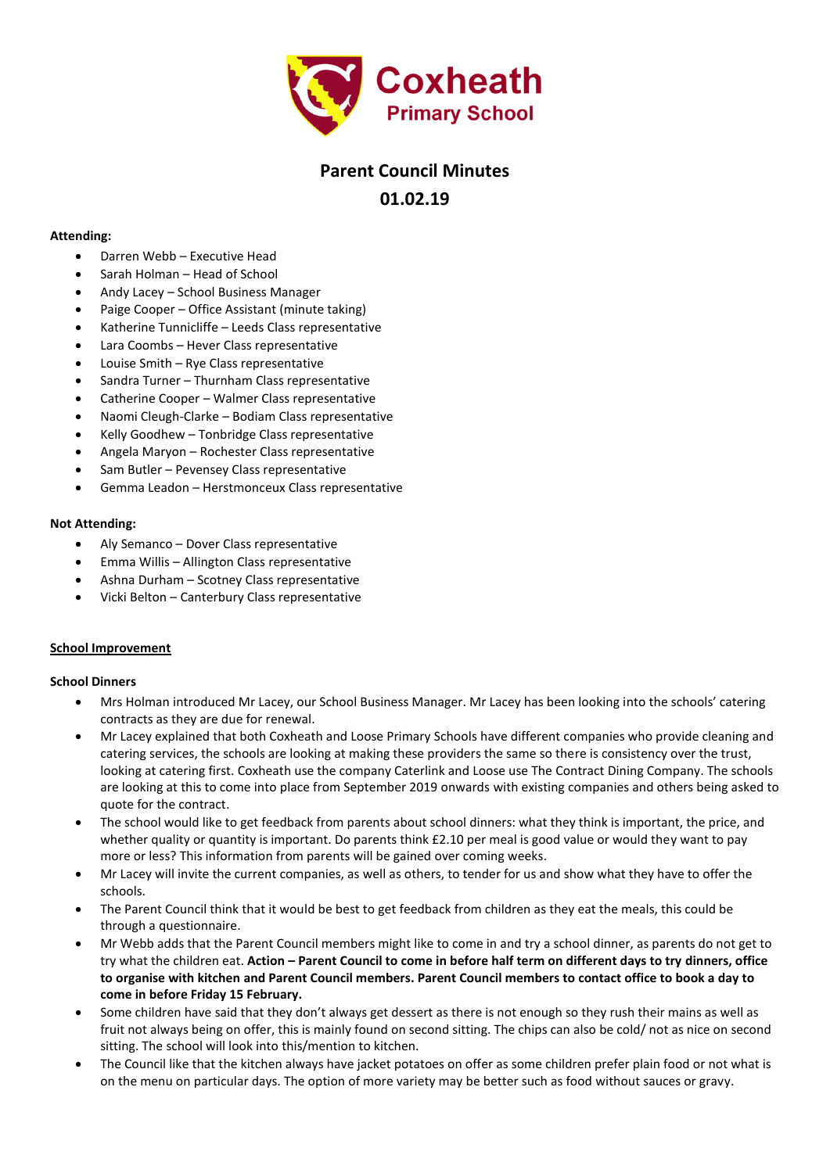

# **Parent Council Minutes 01.02.19**

#### **Attending:**

- Darren Webb Executive Head
- Sarah Holman Head of School
- Andy Lacey School Business Manager
- Paige Cooper Office Assistant (minute taking)
- Katherine Tunnicliffe Leeds Class representative
- Lara Coombs Hever Class representative
- Louise Smith Rye Class representative
- Sandra Turner Thurnham Class representative
- Catherine Cooper Walmer Class representative
- Naomi Cleugh-Clarke Bodiam Class representative
- Kelly Goodhew Tonbridge Class representative
- Angela Maryon Rochester Class representative
- Sam Butler Pevensey Class representative
- Gemma Leadon Herstmonceux Class representative

#### **Not Attending:**

- Aly Semanco Dover Class representative
- Emma Willis Allington Class representative
- Ashna Durham Scotney Class representative
- Vicki Belton Canterbury Class representative

#### **School Improvement**

#### **School Dinners**

- Mrs Holman introduced Mr Lacey, our School Business Manager. Mr Lacey has been looking into the schools' catering contracts as they are due for renewal.
- Mr Lacey explained that both Coxheath and Loose Primary Schools have different companies who provide cleaning and catering services, the schools are looking at making these providers the same so there is consistency over the trust, looking at catering first. Coxheath use the company Caterlink and Loose use The Contract Dining Company. The schools are looking at this to come into place from September 2019 onwards with existing companies and others being asked to quote for the contract.
- The school would like to get feedback from parents about school dinners: what they think is important, the price, and whether quality or quantity is important. Do parents think £2.10 per meal is good value or would they want to pay more or less? This information from parents will be gained over coming weeks.
- Mr Lacey will invite the current companies, as well as others, to tender for us and show what they have to offer the schools.
- The Parent Council think that it would be best to get feedback from children as they eat the meals, this could be through a questionnaire.
- Mr Webb adds that the Parent Council members might like to come in and try a school dinner, as parents do not get to try what the children eat. **Action – Parent Council to come in before half term on different days to try dinners, office to organise with kitchen and Parent Council members. Parent Council members to contact office to book a day to come in before Friday 15 February.**
- Some children have said that they don't always get dessert as there is not enough so they rush their mains as well as fruit not always being on offer, this is mainly found on second sitting. The chips can also be cold/ not as nice on second sitting. The school will look into this/mention to kitchen.
- The Council like that the kitchen always have jacket potatoes on offer as some children prefer plain food or not what is on the menu on particular days. The option of more variety may be better such as food without sauces or gravy.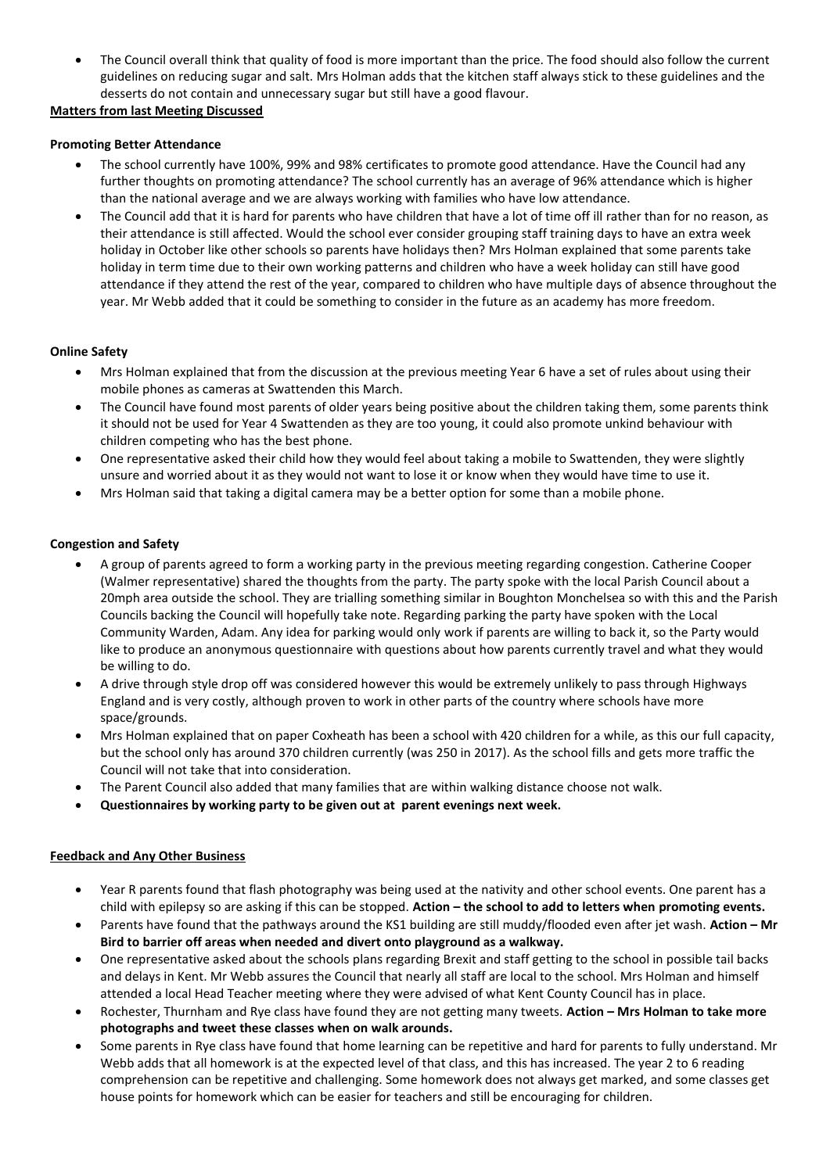The Council overall think that quality of food is more important than the price. The food should also follow the current guidelines on reducing sugar and salt. Mrs Holman adds that the kitchen staff always stick to these guidelines and the desserts do not contain and unnecessary sugar but still have a good flavour.

## **Matters from last Meeting Discussed**

## **Promoting Better Attendance**

- The school currently have 100%, 99% and 98% certificates to promote good attendance. Have the Council had any further thoughts on promoting attendance? The school currently has an average of 96% attendance which is higher than the national average and we are always working with families who have low attendance.
- The Council add that it is hard for parents who have children that have a lot of time off ill rather than for no reason, as their attendance is still affected. Would the school ever consider grouping staff training days to have an extra week holiday in October like other schools so parents have holidays then? Mrs Holman explained that some parents take holiday in term time due to their own working patterns and children who have a week holiday can still have good attendance if they attend the rest of the year, compared to children who have multiple days of absence throughout the year. Mr Webb added that it could be something to consider in the future as an academy has more freedom.

## **Online Safety**

- Mrs Holman explained that from the discussion at the previous meeting Year 6 have a set of rules about using their mobile phones as cameras at Swattenden this March.
- The Council have found most parents of older years being positive about the children taking them, some parents think it should not be used for Year 4 Swattenden as they are too young, it could also promote unkind behaviour with children competing who has the best phone.
- One representative asked their child how they would feel about taking a mobile to Swattenden, they were slightly unsure and worried about it as they would not want to lose it or know when they would have time to use it.
- Mrs Holman said that taking a digital camera may be a better option for some than a mobile phone.

## **Congestion and Safety**

- A group of parents agreed to form a working party in the previous meeting regarding congestion. Catherine Cooper (Walmer representative) shared the thoughts from the party. The party spoke with the local Parish Council about a 20mph area outside the school. They are trialling something similar in Boughton Monchelsea so with this and the Parish Councils backing the Council will hopefully take note. Regarding parking the party have spoken with the Local Community Warden, Adam. Any idea for parking would only work if parents are willing to back it, so the Party would like to produce an anonymous questionnaire with questions about how parents currently travel and what they would be willing to do.
- A drive through style drop off was considered however this would be extremely unlikely to pass through Highways England and is very costly, although proven to work in other parts of the country where schools have more space/grounds.
- Mrs Holman explained that on paper Coxheath has been a school with 420 children for a while, as this our full capacity, but the school only has around 370 children currently (was 250 in 2017). As the school fills and gets more traffic the Council will not take that into consideration.
- The Parent Council also added that many families that are within walking distance choose not walk.
- **Questionnaires by working party to be given out at parent evenings next week.**

## **Feedback and Any Other Business**

- Year R parents found that flash photography was being used at the nativity and other school events. One parent has a child with epilepsy so are asking if this can be stopped. **Action – the school to add to letters when promoting events.**
- Parents have found that the pathways around the KS1 building are still muddy/flooded even after jet wash. **Action – Mr Bird to barrier off areas when needed and divert onto playground as a walkway.**
- One representative asked about the schools plans regarding Brexit and staff getting to the school in possible tail backs and delays in Kent. Mr Webb assures the Council that nearly all staff are local to the school. Mrs Holman and himself attended a local Head Teacher meeting where they were advised of what Kent County Council has in place.
- Rochester, Thurnham and Rye class have found they are not getting many tweets. **Action – Mrs Holman to take more photographs and tweet these classes when on walk arounds.**
- Some parents in Rye class have found that home learning can be repetitive and hard for parents to fully understand. Mr Webb adds that all homework is at the expected level of that class, and this has increased. The year 2 to 6 reading comprehension can be repetitive and challenging. Some homework does not always get marked, and some classes get house points for homework which can be easier for teachers and still be encouraging for children.